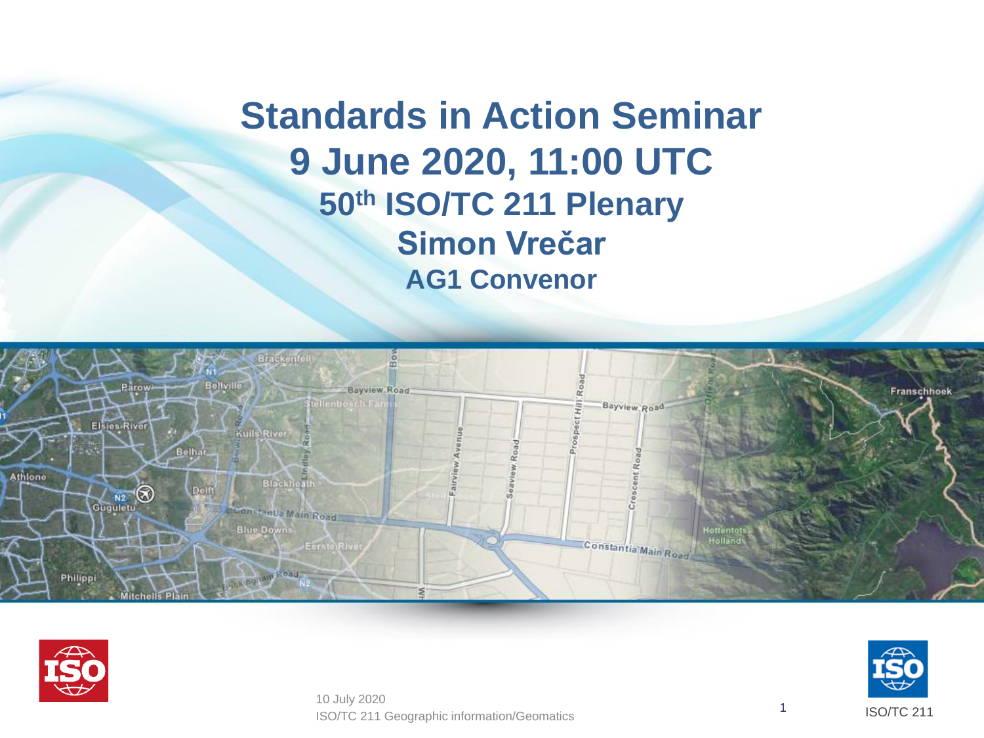**Standards in Action Seminar 9 June 2020, 11:00 UTC 50th ISO/TC 211 Plenary Simon Vrečar AG1 Convenor**





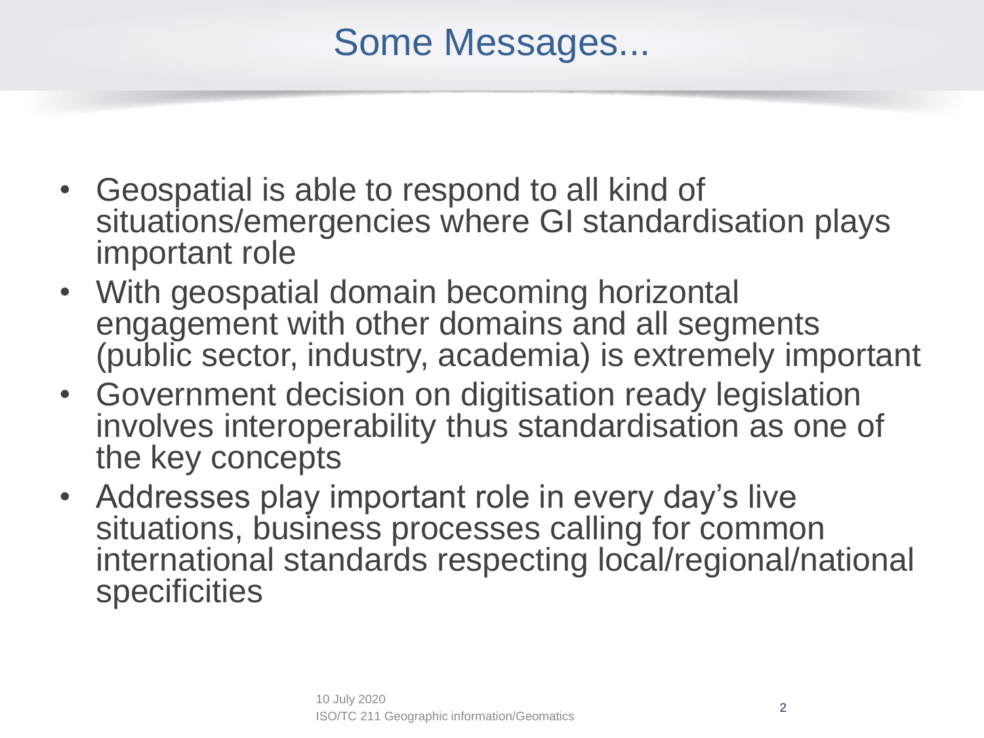## Some Messages...

- Geospatial is able to respond to all kind of situations/emergencies where GI standardisation plays important role
- With geospatial domain becoming horizontal engagement with other domains and all segments (public sector, industry, academia) is extremely important
- Government decision on digitisation ready legislation involves interoperability thus standardisation as one of the key concepts
- Addresses play important role in every day's live situations, business processes calling for common international standards respecting local/regional/national **specificities**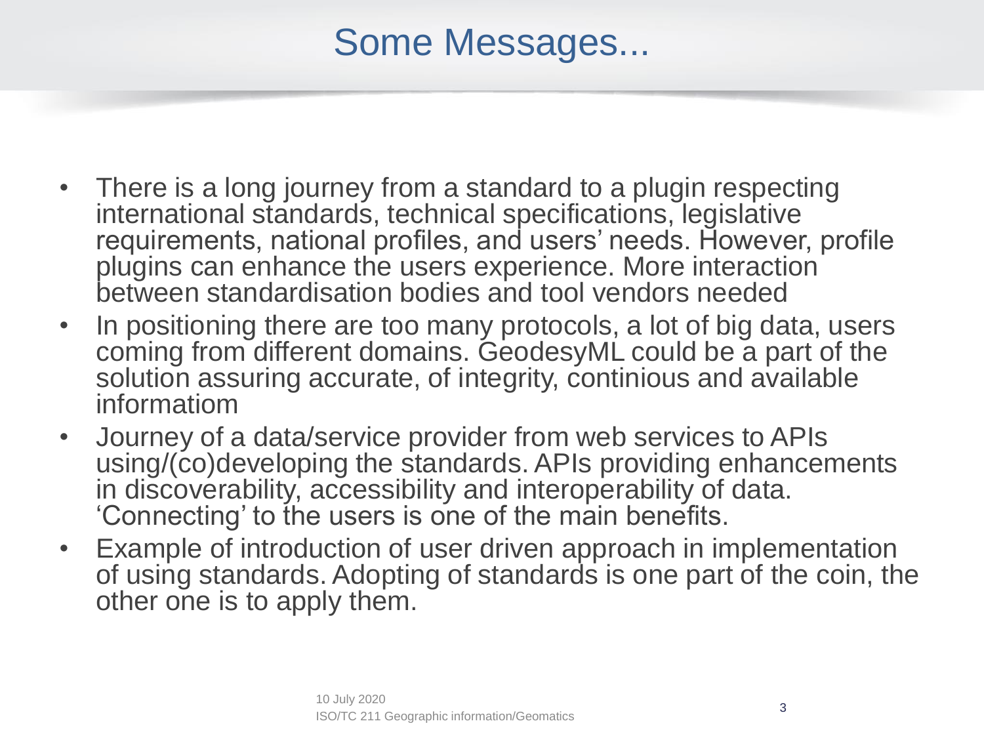## Some Messages...

- There is a long journey from a standard to a plugin respecting international standards, technical specifications, legislative requirements, national profiles, and users' needs. However, profile plugins can enhance the users experience. More interaction between standardisation bodies and tool vendors needed
- In positioning there are too many protocols, a lot of big data, users coming from different domains. GeodesyML could be a part of the solution assuring accurate, of integrity, continious and available informatiom
- Journey of a data/service provider from web services to APIs using/(co)developing the standards. APIs providing enhancements in discoverability, accessibility and interoperability of data. 'Connecting' to the users is one of the main benefits.
- Example of introduction of user driven approach in implementation of using standards. Adopting of standards is one part of the coin, the other one is to apply them.